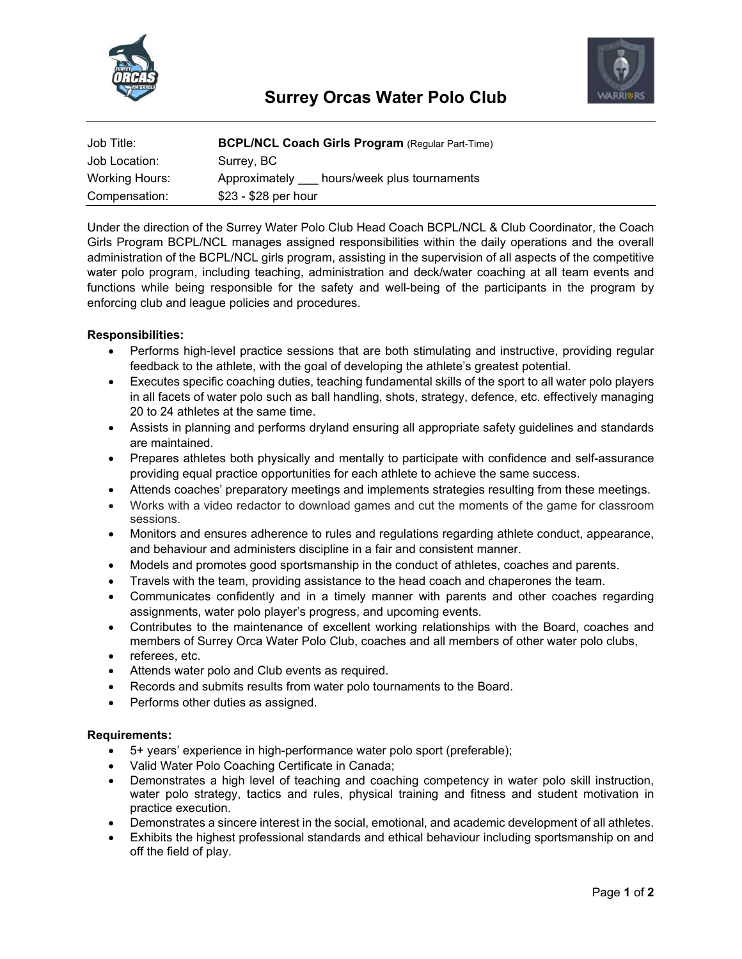



| Job Title:     | <b>BCPL/NCL Coach Girls Program (Regular Part-Time)</b> |
|----------------|---------------------------------------------------------|
| Job Location:  | Surrey, BC                                              |
| Working Hours: | hours/week plus tournaments<br>Approximately            |
| Compensation:  | \$23 - \$28 per hour                                    |

Under the direction of the Surrey Water Polo Club Head Coach BCPL/NCL & Club Coordinator, the Coach Girls Program BCPL/NCL manages assigned responsibilities within the daily operations and the overall administration of the BCPL/NCL girls program, assisting in the supervision of all aspects of the competitive water polo program, including teaching, administration and deck/water coaching at all team events and functions while being responsible for the safety and well-being of the participants in the program by enforcing club and league policies and procedures.

## **Responsibilities:**

- Performs high-level practice sessions that are both stimulating and instructive, providing regular feedback to the athlete, with the goal of developing the athlete's greatest potential.
- Executes specific coaching duties, teaching fundamental skills of the sport to all water polo players in all facets of water polo such as ball handling, shots, strategy, defence, etc. effectively managing 20 to 24 athletes at the same time.
- Assists in planning and performs dryland ensuring all appropriate safety guidelines and standards are maintained.
- Prepares athletes both physically and mentally to participate with confidence and self-assurance providing equal practice opportunities for each athlete to achieve the same success.
- Attends coaches' preparatory meetings and implements strategies resulting from these meetings.
- Works with a video redactor to download games and cut the moments of the game for classroom sessions.
- Monitors and ensures adherence to rules and regulations regarding athlete conduct, appearance, and behaviour and administers discipline in a fair and consistent manner.
- Models and promotes good sportsmanship in the conduct of athletes, coaches and parents.
- Travels with the team, providing assistance to the head coach and chaperones the team.
- Communicates confidently and in a timely manner with parents and other coaches regarding assignments, water polo player's progress, and upcoming events.
- Contributes to the maintenance of excellent working relationships with the Board, coaches and members of Surrey Orca Water Polo Club, coaches and all members of other water polo clubs,
- referees, etc.
- Attends water polo and Club events as required.
- Records and submits results from water polo tournaments to the Board.
- Performs other duties as assigned.

## **Requirements:**

- 5+ years' experience in high-performance water polo sport (preferable);
- Valid Water Polo Coaching Certificate in Canada;
- Demonstrates a high level of teaching and coaching competency in water polo skill instruction, water polo strategy, tactics and rules, physical training and fitness and student motivation in practice execution.
- Demonstrates a sincere interest in the social, emotional, and academic development of all athletes.
- Exhibits the highest professional standards and ethical behaviour including sportsmanship on and off the field of play.